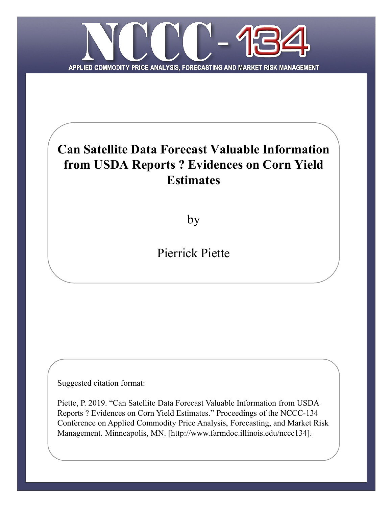

# **Can Satellite Data Forecast Valuable Information from USDA Reports ? Evidences on Corn Yield Estimates**

by

# Pierrick Piette

Suggested citation format:

Piette, P. 2019. "Can Satellite Data Forecast Valuable Information from USDA Reports ? Evidences on Corn Yield Estimates." Proceedings of the NCCC-134 Conference on Applied Commodity Price Analysis, Forecasting, and Market Risk Management. Minneapolis, MN. [http://www.farmdoc.illinois.edu/nccc134].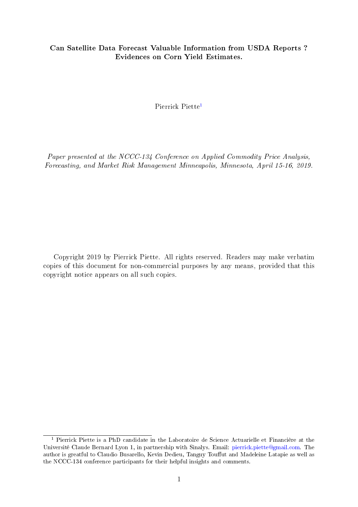### Can Satellite Data Forecast Valuable Information from USDA Reports ? Evidences on Corn Yield Estimates.

Pierrick Piette[1](#page-1-0)

Paper presented at the NCCC-134 Conference on Applied Commodity Price Analysis, Forecasting, and Market Risk Management Minneapolis, Minnesota, April 15-16, 2019.

Copyright 2019 by Pierrick Piette. All rights reserved. Readers may make verbatim copies of this document for non-commercial purposes by any means, provided that this copyright notice appears on all such copies.

<span id="page-1-0"></span><sup>&</sup>lt;sup>1</sup> Pierrick Piette is a PhD candidate in the Laboratoire de Science Actuarielle et Financière at the Université Claude Bernard Lyon 1, in partnership with Sinalys. Email: [pierrick.piette@gmail.com.](mailto:pierrick.piette@gmail.com) The author is greatful to Claudio Busarello, Kevin Dedieu, Tanguy Touffut and Madeleine Latapie as well as the NCCC-134 conference participants for their helpful insights and comments.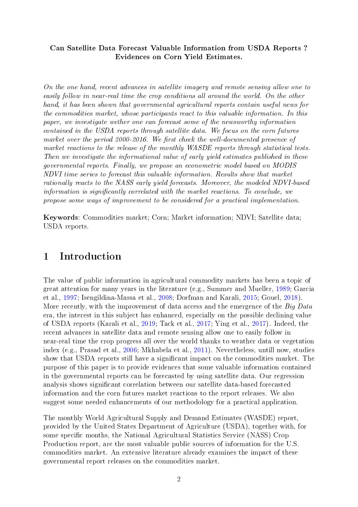#### Can Satellite Data Forecast Valuable Information from USDA Reports ? Evidences on Corn Yield Estimates.

On the one hand, recent advances in satellite imagery and remote sensing allow one to easily follow in near-real time the crop conditions all around the world. On the other hand, it has been shown that governmental agricultural reports contain useful news for the commodities market, whose participants react to this valuable information. In this paper, we investigate wether one can forecast some of the newsworthy information contained in the USDA reports through satellite data. We focus on the corn futures market over the period  $2000-2016$ . We first check the well-documented presence of market reactions to the release of the monthly WASDE reports through statistical tests. Then we investigate the informational value of early yield estimates published in these governmental reports. Finally, we propose an econometric model based on MODIS NDVI time series to forecast this valuable information. Results show that market rationally reacts to the NASS early yield forecasts. Moreover, the modeled NDVI-based  $information$  is significantly correlated with the market reactions. To conclude, we propose some ways of improvement to be considered for a practical implementation.

Keywords: Commodities market; Corn; Market information; NDVI; Satellite data; USDA reports.

# 1 Introduction

The value of public information in agricultural commodity markets has been a topic of great attention for many years in the literature (e.g., Summer and Mueller, [1989;](#page-22-0) Garcia et al., [1997;](#page-20-0) Isengildina-Massa et al., [2008;](#page-20-1) Dorfman and Karali, [2015;](#page-19-0) Gouel, [2018\)](#page-20-2). More recently, with the improvement of data access and the emergence of the Big Data era, the interest in this subject has enhanced, especially on the possible declining value of USDA reports (Karali et al., [2019;](#page-20-3) Tack et al., [2017;](#page-22-1) Ying et al., [2017\)](#page-22-2). Indeed, the recent advances in satellite data and remote sensing allow one to easily follow in near-real time the crop progress all over the world thanks to weather data or vegetation index (e.g., Prasad et al., [2006;](#page-21-0) Mkhabela et al., [2011\)](#page-21-1). Nevertheless, untill now, studies show that USDA reports still have a significant impact on the commodities market. The purpose of this paper is to provide evidences that some valuable information contained in the governmental reports can be forecasted by using satellite data. Our regression analysis shows significant correlation between our satellite data-based forecasted information and the corn futures market reactions to the report releases. We also suggest some needed enhancements of our methodology for a practical application.

The monthly World Agricultural Supply and Demand Estimates (WASDE) report, provided by the United States Department of Agriculture (USDA), together with, for some specific months, the National Agricultural Statistics Service (NASS) Crop Production report, are the most valuable public sources of information for the U.S. commodities market. An extensive literature already examines the impact of these governmental report releases on the commodities market.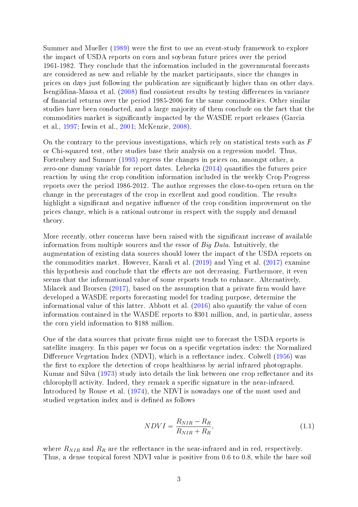Summer and Mueller [\(1989\)](#page-22-0) were the first to use an event-study framework to explore the impact of USDA reports on corn and soybean future prices over the period 1961-1982. They conclude that the information included in the governmental forecasts are considered as new and reliable by the market participants, since the changes in prices on days just following the publication are signicantly higher than on other days. Isengildina-Massa et al.  $(2008)$  find consistent results by testing differences in variance of nancial returns over the period 1985-2006 for the same commodities. Other similar studies have been conducted, and a large majority of them conclude on the fact that the commodities market is signicantly impacted by the WASDE report releases (Garcia et al., [1997;](#page-20-0) Irwin et al., [2001;](#page-20-4) McKenzie, [2008\)](#page-21-2).

On the contrary to the previous investigations, which rely on statistical tests such as  $F$ or Chi-squared test, other studies base their analysis on a regression model. Thus, Fortenbery and Sumner [\(1993\)](#page-19-1) regress the changes in prices on, amongst other, a zero-one dummy variable for report dates. Lehecka  $(2014)$  quantifies the futures price reaction by using the crop condition information included in the weekly Crop Progress reports over the period 1986-2012. The author regresses the close-to-open return on the change in the percentages of the crop in excellent and good condition. The results highlight a significant and negative influence of the crop condition improvement on the prices change, which is a rational outcome in respect with the supply and demand theory.

More recently, other concerns have been raised with the significant increase of available information from multiple sources and the essor of  $Big Data$ . Intuitively, the augmentation of existing data sources should lower the impact of the USDA reports on the commodities market. However, Karali et al. [\(2019\)](#page-20-3) and Ying et al. [\(2017\)](#page-22-2) examine this hypothesis and conclude that the effects are not decreasing. Furthermore, it even seems that the informational value of some reports tends to enhance. Alternatively, Milacek and Brorsen  $(2017)$ , based on the assumption that a private firm would have developed a WASDE reports forecasting model for trading purpose, determine the informational value of this latter. Abbott et al. [\(2016\)](#page-19-2) also quantify the value of corn information contained in the WASDE reports to \$301 million, and, in particular, assess the corn yield information to \$188 million.

One of the data sources that private firms might use to forecast the USDA reports is satellite imagery. In this paper we focus on a specific vegetation index: the Normalized Difference Vegetation Index (NDVI), which is a reflectance index. Colwell [\(1956\)](#page-19-3) was the first to explore the detection of crops healthiness by aerial infrared photographs. Kumar and Silva [\(1973\)](#page-20-6) study into details the link between one crop reflectance and its chlorophyll activity. Indeed, they remark a specific signature in the near-infrared. Introduced by Rouse et al. [\(1974\)](#page-21-4), the NDVI is nowadays one of the most used and studied vegetation index and is defined as follows

$$
NDVI = \frac{R_{NIR} - R_R}{R_{NIR} + R_R},\tag{1.1}
$$

where  $R_{NIR}$  and  $R_R$  are the reflectance in the near-infrared and in red, respectively. Thus, a dense tropical forest NDVI value is positive from 0.6 to 0.8, while the bare soil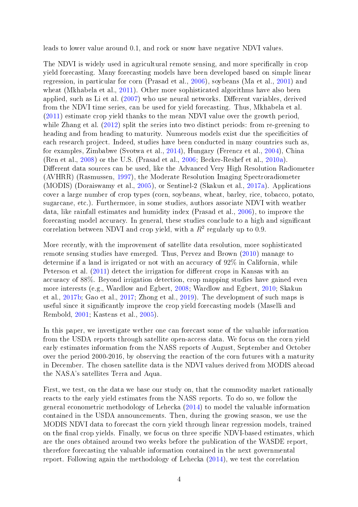leads to lower value around 0.1, and rock or snow have negative NDVI values.

The NDVI is widely used in agricultural remote sensing, and more specifically in crop yield forecasting. Many forecasting models have been developed based on simple linear regression, in particular for corn (Prasad et al., [2006\)](#page-21-0), soybeans (Ma et al., [2001\)](#page-21-5) and wheat (Mkhabela et al., [2011\)](#page-21-1). Other more sophisticated algorithms have also been applied, such as Li et al. [\(2007\)](#page-20-7) who use neural networks. Different variables, derived from the NDVI time series, can be used for yield forecasting. Thus, Mkhabela et al. [\(2011\)](#page-21-1) estimate crop yield thanks to the mean NDVI value over the growth period, while Zhang et al.  $(2012)$  split the series into two distinct periods: from re-greening to heading and from heading to maturity. Numerous models exist due the specificities of each research project. Indeed, studies have been conducted in many countries such as, for examples, Zimbabwe (Svotwa et al., [2014\)](#page-22-4), Hungary (Ferencz et al., [2004\)](#page-19-4), China (Ren et al., [2008\)](#page-21-6) or the U.S. (Prasad et al., [2006;](#page-21-0) Becker-Reshef et al., [2010a\)](#page-19-5). Different data sources can be used, like the Advanced Very High Resolution Radiometer (AVHRR) (Rasmussen, [1997\)](#page-21-7), the Moderate Resolution Imaging Spectroradiometer (MODIS) (Doraiswamy et al., [2005\)](#page-19-6), or Sentinel-2 (Skakun et al., [2017a\)](#page-21-8). Applications cover a large number of crop types (corn, soybeans, wheat, barley, rice, tobacco, potato, sugarcane, etc.). Furthermore, in some studies, authors associate NDVI with weather data, like rainfall estimates and humidity index (Prasad et al., [2006\)](#page-21-0), to improve the forecasting model accuracy. In general, these studies conclude to a high and signicant correlation between NDVI and crop yield, with a  $R^2$  regularly up to 0.9.

More recently, with the improvement of satellite data resolution, more sophisticated remote sensing studies have emerged. Thus, Pervez and Brown [\(2010\)](#page-21-9) manage to determine if a land is irrigated or not with an accuracy of 92% in California, while Peterson et al. [\(2011\)](#page-21-10) detect the irrigation for different crops in Kansas with an accuracy of 88%. Beyond irrigation detection, crop mapping studies have gained even more interests (e.g., Wardlow and Egbert, [2008;](#page-22-5) Wardlow and Egbert, [2010;](#page-22-6) Skakun et al., [2017b;](#page-22-7) Gao et al., [2017;](#page-19-7) Zhong et al., [2019\)](#page-23-0). The development of such maps is useful since it significantly improve the crop yield forecasting models (Maselli and Rembold, [2001;](#page-21-11) Kastens et al., [2005\)](#page-20-8).

In this paper, we investigate wether one can forecast some of the valuable information from the USDA reports through satellite open-access data. We focus on the corn yield early estimates information from the NASS reports of August, September and October over the period 2000-2016, by observing the reaction of the corn futures with a maturity in December. The chosen satellite data is the NDVI values derived from MODIS abroad the NASA's satellites Terra and Aqua.

First, we test, on the data we base our study on, that the commodity market rationally reacts to the early yield estimates from the NASS reports. To do so, we follow the general econometric methodology of Lehecka [\(2014\)](#page-20-5) to model the valuable information contained in the USDA announcements. Then, during the growing season, we use the MODIS NDVI data to forecast the corn yield through linear regression models, trained on the final crop yields. Finally, we focus on three specific NDVI-based estimates, which are the ones obtained around two weeks before the publication of the WASDE report, therefore forecasting the valuable information contained in the next governmental report. Following again the methodology of Lehecka [\(2014\)](#page-20-5), we test the correlation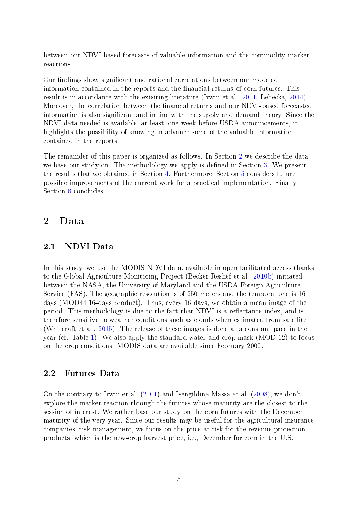between our NDVI-based forecasts of valuable information and the commodity market reactions.

Our findings show significant and rational correlations between our modeled information contained in the reports and the financial returns of corn futures. This result is in accordance with the exisiting literature (Irwin et al., [2001;](#page-20-4) Lehecka, [2014\)](#page-20-5). Moreover, the correlation between the nancial returns and our NDVI-based forecasted information is also significant and in line with the supply and demand theory. Since the NDVI data needed is available, at least, one week before USDA announcements, it highlights the possibility of knowing in advance some of the valuable information contained in the reports.

The remainder of this paper is organized as follows. In Section [2](#page-5-0) we describe the data we base our study on. The methodology we apply is defined in Section [3.](#page-7-0) We present the results that we obtained in Section [4.](#page-11-0) Furthermore, Section [5](#page-16-0) considers future possible improvements of the current work for a practical implementation. Finally, Section [6](#page-18-0) concludes.

# <span id="page-5-0"></span>2 Data

## 2.1 NDVI Data

In this study, we use the MODIS NDVI data, available in open facilitated access thanks to the Global Agriculture Monitoring Project (Becker-Reshef et al., [2010b\)](#page-19-8) initiated between the NASA, the University of Maryland and the USDA Foreign Agriculture Service (FAS). The geographic resolution is of 250 meters and the temporal one is 16 days (MOD44 16-days product). Thus, every 16 days, we obtain a mean image of the period. This methodology is due to the fact that NDVI is a reflectance index, and is therefore sensitive to weather conditions such as clouds when estimated from satellite (Whitcraft et al., [2015\)](#page-22-8). The release of these images is done at a constant pace in the year (cf. Table [1\)](#page-6-0). We also apply the standard water and crop mask (MOD 12) to focus on the crop conditions. MODIS data are available since February 2000.

## 2.2 Futures Data

On the contrary to Irwin et al. [\(2001\)](#page-20-4) and Isengildina-Massa et al. [\(2008\)](#page-20-1), we don't explore the market reaction through the futures whose maturity are the closest to the session of interest. We rather base our study on the corn futures with the December maturity of the very year. Since our results may be useful for the agricultural insurance companies' risk management, we focus on the price at risk for the revenue protection products, which is the new-crop harvest price, i.e., December for corn in the U.S.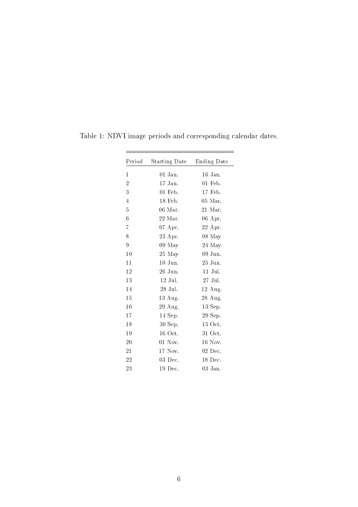| Period         | Starting Date | <b>Ending Date</b> |
|----------------|---------------|--------------------|
|                |               |                    |
| $\mathbf{1}$   | 01 Jan.       | 16 Jan.            |
| $\overline{2}$ | 17 Jan.       | 01 Feb.            |
| 3              | $01$ Feb.     | 17 Feb.            |
| 4              | 18 Feb.       | 05 Mar.            |
| 5              | $06$ Mar.     | 21 Mar.            |
| 6              | 22 Mar.       | $06$ Apr.          |
| 7              | 07 Apr.       | 22 Apr.            |
| 8              | 23 Apr.       | 08 May             |
| 9              | 09 May        | 24 May             |
| 10             | 25 May        | 09 Jun.            |
| 11             | 10 Jun.       | 25 Jun.            |
| 12             | 26 Jun.       | 11 Jul.            |
| 13             | 12 Jul.       | 27 Jul.            |
| 14             | 28 Jul.       | $12$ Aug.          |
| 15             | 13 Aug.       | 28 Aug.            |
| 16             | 29 Aug.       | $13$ Sep.          |
| 17             | 14 Sep.       | 29 Sep.            |
| 18             | 30 Sep.       | 15 Oct.            |
| 19             | 16 Oct.       | 31 Oct.            |
| 20             | 01 Nov.       | 16 Nov.            |
| 21             | 17 Nov.       | $02$ Dec.          |
| 22             | $03$ Dec.     | 18 Dec.            |
| 23             | 19 Dec.       | 03 Jan.            |

<span id="page-6-0"></span>Table 1: NDVI image periods and corresponding calendar dates.

i.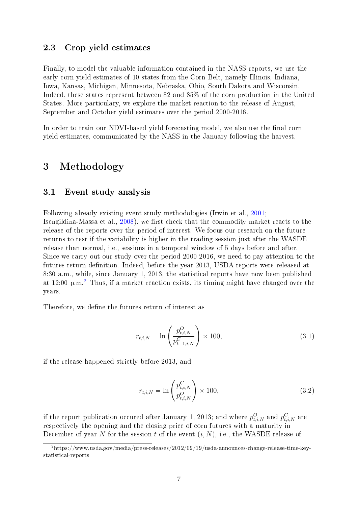## 2.3 Crop yield estimates

Finally, to model the valuable information contained in the NASS reports, we use the early corn yield estimates of 10 states from the Corn Belt, namely Illinois, Indiana, Iowa, Kansas, Michigan, Minnesota, Nebraska, Ohio, South Dakota and Wisconsin. Indeed, these states represent between 82 and 85% of the corn production in the United States. More particulary, we explore the market reaction to the release of August, September and October yield estimates over the period 2000-2016.

In order to train our NDVI-based yield forecasting model, we also use the final corn yield estimates, communicated by the NASS in the January following the harvest.

# <span id="page-7-0"></span>3 Methodology

#### <span id="page-7-2"></span>3.1 Event study analysis

Following already existing event study methodologies (Irwin et al., [2001;](#page-20-4) Isengildina-Massa et al., [2008\)](#page-20-1), we first check that the commodity market reacts to the release of the reports over the period of interest. We focus our research on the future returns to test if the variability is higher in the trading session just after the WASDE release than normal, i.e., sessions in a temporal window of 5 days before and after. Since we carry out our study over the period 2000-2016, we need to pay attention to the futures return definition. Indeed, before the year 2013, USDA reports were released at 8:30 a.m., while, since January 1, 2013, the statistical reports have now been published at 12:00 p.m.[2](#page-7-1) Thus, if a market reaction exists, its timing might have changed over the years.

Therefore, we define the futures return of interest as

$$
r_{t,i,N} = \ln\left(\frac{p_{t,i,N}^O}{p_{t-1,i,N}^C}\right) \times 100,\tag{3.1}
$$

if the release happened strictly before 2013, and

$$
r_{t,i,N} = \ln\left(\frac{p_{t,i,N}^C}{p_{t,i,N}^O}\right) \times 100,
$$
\n(3.2)

if the report publication occured after January 1, 2013; and where  $p^O_{t,i,N}$  and  $p^C_{t,i,N}$  are respectively the opening and the closing price of corn futures with a maturity in December of year N for the session t of the event  $(i, N)$ , i.e., the WASDE release of

<span id="page-7-1"></span><sup>2</sup>https://www.usda.gov/media/press-releases/2012/09/19/usda-announces-change-release-time-keystatistical-reports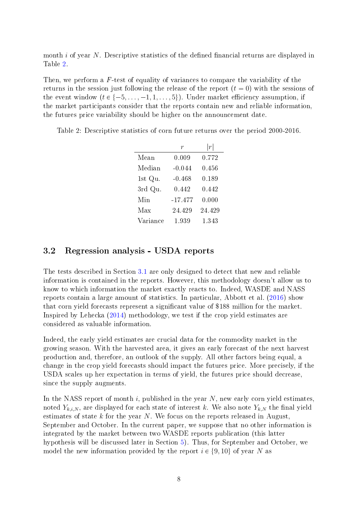month  $i$  of year N. Descriptive statistics of the defined financial returns are displayed in Table [2.](#page-8-0)

Then, we perform a F-test of equality of variances to compare the variability of the returns in the session just following the release of the report  $(t = 0)$  with the sessions of the event window  $(t \in \{-5, \ldots, -1, 1, \ldots, 5\})$ . Under market efficiency assumption, if the market participants consider that the reports contain new and reliable information, the futures price variability should be higher on the announcement date.

<span id="page-8-0"></span>Table 2: Descriptive statistics of corn future returns over the period 2000-2016.

|          | r           | $\boldsymbol{r}$ |
|----------|-------------|------------------|
| Mean     | $\rm 0.009$ | 0.772            |
| Median   | -0.044      | 0.456            |
| 1st Qu.  | $-0.468$    | 0.189            |
| 3rd Qu.  | 0.442       | 0.442            |
| Min      | $-17.477$   | 0.000            |
| Max      | 24.429      | 24.429           |
| Variance | 1.939       | 1.343            |

## <span id="page-8-1"></span>3.2 Regression analysis - USDA reports

The tests described in Section [3.1](#page-7-2) are only designed to detect that new and reliable information is contained in the reports. However, this methodology doesn't allow us to know to which information the market exactly reacts to. Indeed, WASDE and NASS reports contain a large amount of statistics. In particular, Abbott et al. [\(2016\)](#page-19-2) show that corn yield forecasts represent a significant value of \$188 million for the market. Inspired by Lehecka [\(2014\)](#page-20-5) methodology, we test if the crop yield estimates are considered as valuable information.

Indeed, the early yield estimates are crucial data for the commodity market in the growing season. With the harvested area, it gives an early forecast of the next harvest production and, therefore, an outlook of the supply. All other factors being equal, a change in the crop yield forecasts should impact the futures price. More precisely, if the USDA scales up her expectation in terms of yield, the futures price should decrease, since the supply augments.

In the NASS report of month  $i$ , published in the year  $N$ , new early corn yield estimates, noted  $Y_{k,i,N}$ , are displayed for each state of interest k. We also note  $Y_{k,N}$  the final yield estimates of state  $k$  for the year  $N$ . We focus on the reports released in August, September and October. In the current paper, we suppose that no other information is integrated by the market between two WASDE reports publication (this latter hypothesis will be discussed later in Section [5\)](#page-16-0). Thus, for September and October, we model the new information provided by the report  $i \in \{9, 10\}$  of year N as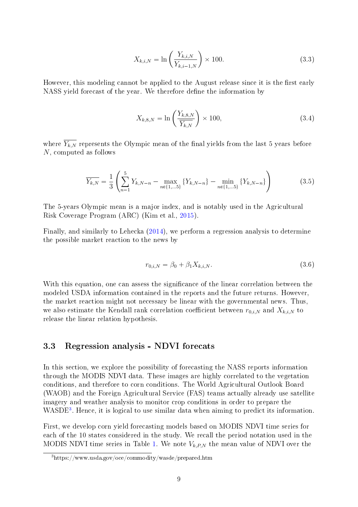<span id="page-9-2"></span>
$$
X_{k,i,N} = \ln\left(\frac{Y_{k,i,N}}{Y_{k,i-1,N}}\right) \times 100.
$$
 (3.3)

However, this modeling cannot be applied to the August release since it is the first early NASS yield forecast of the year. We therefore define the information by

<span id="page-9-3"></span>
$$
X_{k,8,N} = \ln\left(\frac{Y_{k,8,N}}{\overline{Y}_{k,N}}\right) \times 100,\tag{3.4}
$$

where  $\overline{Y_{k,N}}$  represents the Olympic mean of the final yields from the last 5 years before N, computed as follows

$$
\overline{Y_{k,N}} = \frac{1}{3} \left( \sum_{n=1}^{5} Y_{k,N-n} - \max_{n \in \{1, \dots 5\}} \{ Y_{k,N-n} \} - \min_{n \in \{1, \dots 5\}} \{ Y_{k,N-n} \} \right) \tag{3.5}
$$

The 5-years Olympic mean is a major index, and is notably used in the Agricultural Risk Coverage Program (ARC) (Kim et al., [2015\)](#page-20-9).

Finally, and similarly to Lehecka [\(2014\)](#page-20-5), we perform a regression analysis to determine the possible market reaction to the news by

<span id="page-9-1"></span>
$$
r_{0,i,N} = \beta_0 + \beta_1 X_{k,i,N}.
$$
\n(3.6)

With this equation, one can assess the significance of the linear correlation between the modeled USDA information contained in the reports and the future returns. However, the market reaction might not necessary be linear with the governmental news. Thus, we also estimate the Kendall rank correlation coefficient between  $r_{0,i,N}$  and  $X_{k,i,N}$  to release the linear relation hypothesis.

### <span id="page-9-4"></span>3.3 Regression analysis - NDVI forecats

In this section, we explore the possibility of forecasting the NASS reports information through the MODIS NDVI data. These images are highly correlated to the vegetation conditions, and therefore to corn conditions. The World Agricultural Outlook Board (WAOB) and the Foreign Agricultural Service (FAS) teams actually already use satellite imagery and weather analysis to monitor crop conditions in order to prepare the WASDE[3](#page-9-0) . Hence, it is logical to use similar data when aiming to predict its information.

First, we develop corn yield forecasting models based on MODIS NDVI time series for each of the 10 states considered in the study. We recall the period notation used in the MODIS NDVI time series in Table [1.](#page-6-0) We note  $V_{k,P,N}$  the mean value of NDVI over the

<span id="page-9-0"></span><sup>3</sup>https://www.usda.gov/oce/commodity/wasde/prepared.htm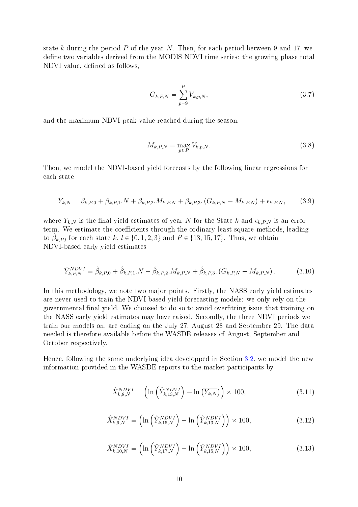state k during the period P of the year N. Then, for each period between 9 and 17, we define two variables derived from the MODIS NDVI time series: the growing phase total NDVI value, defined as follows,

$$
G_{k,P,N} = \sum_{p=9}^{P} V_{k,p,N},
$$
\n(3.7)

and the maximum NDVI peak value reached during the season,

$$
M_{k,P,N} = \max_{p \leq P} V_{k,p,N}.
$$
\n(3.8)

Then, we model the NDVI-based yield forecasts by the following linear regressions for each state

<span id="page-10-0"></span>
$$
Y_{k,N} = \beta_{k,P,0} + \beta_{k,P,1}N + \beta_{k,P,2}M_{k,P,N} + \beta_{k,P,3}\left(G_{k,P,N} - M_{k,P,N}\right) + \epsilon_{k,P,N},\tag{3.9}
$$

where  $Y_{k,N}$  is the final yield estimates of year N for the State k and  $\epsilon_{k,P,N}$  is an error term. We estimate the coefficients through the ordinary least square methods, leading to  $\hat{\beta}_{k,P,l}$  for each state k,  $l \in \{0, 1, 2, 3\}$  and  $P \in \{13, 15, 17\}$ . Thus, we obtain NDVI-based early yield estimates

$$
\hat{Y}_{k,P,N}^{NDVI} = \hat{\beta}_{k,P,0} + \hat{\beta}_{k,P,1} . N + \hat{\beta}_{k,P,2} . M_{k,P,N} + \hat{\beta}_{k,P,3} . (G_{k,P,N} - M_{k,P,N}). \tag{3.10}
$$

In this methodology, we note two major points. Firstly, the NASS early yield estimates are never used to train the NDVI-based yield forecasting models: we only rely on the governmental final yield. We choosed to do so to avoid overfitting issue that training on the NASS early yield estimates may have raised. Secondly, the three NDVI periods we train our models on, are ending on the July 27, August 28 and September 29. The data needed is therefore available before the WASDE releases of August, September and October respectively.

Hence, following the same underlying idea developped in Section [3.2,](#page-8-1) we model the new information provided in the WASDE reports to the market participants by

<span id="page-10-1"></span>
$$
\hat{X}_{k,8,N}^{NDVI} = \left(\ln\left(\hat{Y}_{k,13,N}^{NDVI}\right) - \ln\left(\overline{Y}_{k,N}\right)\right) \times 100,\tag{3.11}
$$

$$
\hat{X}_{k,9,N}^{NDVI} = \left(\ln\left(\hat{Y}_{k,15,N}^{NDVI}\right) - \ln\left(\hat{Y}_{k,13,N}^{NDVI}\right)\right) \times 100,\tag{3.12}
$$

<span id="page-10-2"></span>
$$
\hat{X}_{k,10,N}^{NDVI} = \left(\ln\left(\hat{Y}_{k,17,N}^{NDVI}\right) - \ln\left(\hat{Y}_{k,15,N}^{NDVI}\right)\right) \times 100,\tag{3.13}
$$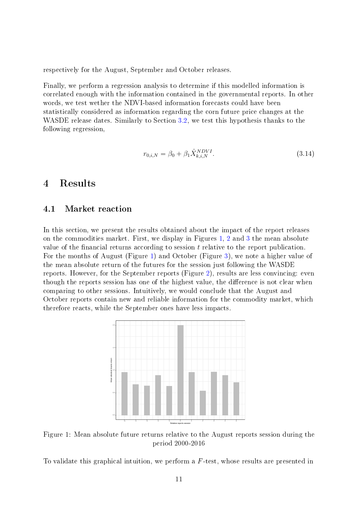respectively for the August, September and October releases.

Finally, we perform a regression analysis to determine if this modelled information is correlated enough with the information contained in the governmental reports. In other words, we test wether the NDVI-based information forecasts could have been statistically considered as information regarding the corn future price changes at the WASDE release dates. Similarly to Section [3.2,](#page-8-1) we test this hypothesis thanks to the following regression,

<span id="page-11-2"></span>
$$
r_{0,i,N} = \beta_0 + \beta_1 \hat{X}_{k,i,N}^{NDVI}.
$$
\n(3.14)

## <span id="page-11-0"></span>4 Results

## 4.1 Market reaction

In this section, we present the results obtained about the impact of the report releases on the commodities market. First, we display in Figures [1,](#page-11-1) [2](#page-12-0) and [3](#page-12-1) the mean absolute value of the financial returns according to session t relative to the report publication. For the months of August (Figure [1\)](#page-11-1) and October (Figure [3\)](#page-12-1), we note a higher value of the mean absolute return of the futures for the session just following the WASDE reports. However, for the September reports (Figure [2\)](#page-12-0), results are less convincing: even though the reports session has one of the highest value, the difference is not clear when comparing to other sessions. Intuitively, we would conclude that the August and October reports contain new and reliable information for the commodity market, which therefore reacts, while the September ones have less impacts.

<span id="page-11-1"></span>

Figure 1: Mean absolute future returns relative to the August reports session during the period 2000-2016

To validate this graphical intuition, we perform a  $F$ -test, whose results are presented in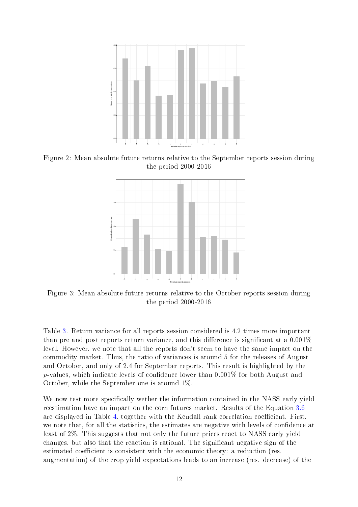<span id="page-12-0"></span>

<span id="page-12-1"></span>Figure 2: Mean absolute future returns relative to the September reports session during the period 2000-2016



Figure 3: Mean absolute future returns relative to the October reports session during the period 2000-2016

Table [3.](#page-13-0) Return variance for all reports session considered is 4.2 times more important than pre and post reports return variance, and this difference is significant at a  $0.001\%$ level. However, we note that all the reports don't seem to have the same impact on the commodity market. Thus, the ratio of variances is around 5 for the releases of August and October, and only of 2.4 for September reports. This result is highlighted by the  $p$ -values, which indicate levels of confidence lower than 0.001% for both August and October, while the September one is around 1%.

We now test more specifically wether the information contained in the NASS early yield reestimation have an impact on the corn futures market. Results of the Equation [3.6](#page-9-1) are displayed in Table [4,](#page-13-1) together with the Kendall rank correlation coefficient. First, we note that, for all the statistics, the estimates are negative with levels of confidence at least of 2%. This suggests that not only the future prices react to NASS early yield changes, but also that the reaction is rational. The signicant negative sign of the estimated coefficient is consistent with the economic theory: a reduction (res. augmentation) of the crop yield expectations leads to an increase (res. decrease) of the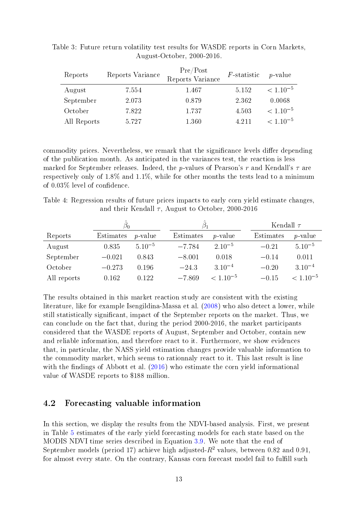| Reports     | Reports Variance | Pre/Post<br>Reports Variance | $F$ -statistic | $p$ -value    |
|-------------|------------------|------------------------------|----------------|---------------|
| August      | 7.554            | 1.467                        | 5.152          | $< 1.10^{-5}$ |
| September   | 2.073            | 0.879                        | 2.362          | 0.0068        |
| October     | 7.822            | 1.737                        | 4.503          | $< 1.10^{-5}$ |
| All Reports | 5.727            | 1.360                        | 4.211          | $< 1.10^{-5}$ |

<span id="page-13-0"></span>Table 3: Future return volatility test results for WASDE reports in Corn Markets, August-October, 2000-2016.

commodity prices. Nevertheless, we remark that the significance levels differ depending of the publication month. As anticipated in the variances test, the reaction is less marked for September releases. Indeed, the p-values of Pearson's r and Kendall's  $\tau$  are respectively only of 1.8% and 1.1%, while for other months the tests lead to a minimum of  $0.03\%$  level of confidence.

<span id="page-13-1"></span>Table 4: Regression results of future prices impacts to early corn yield estimate changes, and their Kendall  $\tau$ , August to October, 2000-2016

|             | Øο        |             |  |           |               | Kendall $\tau$ |           |               |
|-------------|-----------|-------------|--|-----------|---------------|----------------|-----------|---------------|
| Reports     | Estimates | $p$ -value  |  | Estimates | $p$ -value    |                | Estimates | $p$ -value    |
| August      | 0.835     | $5.10^{-5}$ |  | $-7.784$  | $2.10^{-5}$   |                | $-0.21$   | $5.10^{-5}$   |
| September   | $-0.021$  | 0.843       |  | $-8.001$  | 0.018         |                | $-0.14$   | 0.011         |
| October     | $-0.273$  | 0.196       |  | $-24.3$   | $3.10^{-4}$   |                | $-0.20$   | $3.10^{-4}$   |
| All reports | 0.162     | 0.122       |  | $-7.869$  | $< 1.10^{-5}$ |                | $-0.15$   | $< 1.10^{-5}$ |

The results obtained in this market reaction study are consistent with the existing literature, like for example Isengildina-Massa et al. [\(2008\)](#page-20-1) who also detect a lower, while still statistically signicant, impact of the September reports on the market. Thus, we can conclude on the fact that, during the period 2000-2016, the market participants considered that the WASDE reports of August, September and October, contain new and reliable information, and therefore react to it. Furthermore, we show evidences that, in particular, the NASS yield estimation changes provide valuable information to the commodity market, which seems to rationnaly react to it. This last result is line with the findings of Abbott et al.  $(2016)$  who estimate the corn yield informational value of WASDE reports to \$188 million.

#### 4.2 Forecasting valuable information

In this section, we display the results from the NDVI-based analysis. First, we present in Table [5](#page-15-0) estimates of the early yield forecasting models for each state based on the MODIS NDVI time series described in Equation [3.9.](#page-10-0) We note that the end of September models (period 17) achieve high adjusted- $R^2$  values, between 0.82 and 0.91. for almost every state. On the contrary, Kansas corn forecast model fail to fulfill such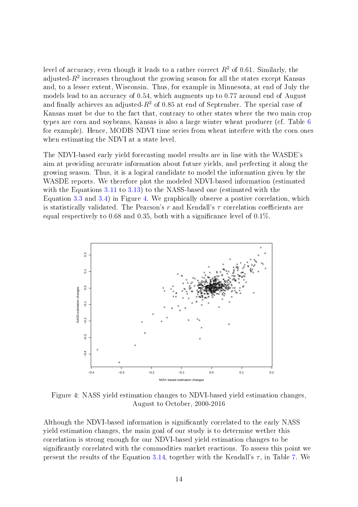level of accuracy, even though it leads to a rather correct  $R^2$  of 0.61. Similarly, the adjusted- $R^2$  increases throughout the growing season for all the states except Kansas and, to a lesser extent, Wisconsin. Thus, for example in Minnesota, at end of July the models lead to an accuracy of 0.54, which augments up to 0.77 around end of August and finally achieves an adjusted- $R^2$  of 0.85 at end of September. The special case of Kansas must be due to the fact that, contrary to other states where the two main crop types are corn and soybeans, Kansas is also a large winter wheat producer (cf. Table [6](#page-16-1) for example). Hence, MODIS NDVI time series from wheat interfere with the corn ones when estimating the NDVI at a state level.

The NDVI-based early yield forecasting model results are in line with the WASDE's aim at providing accurate information about future yields, and perfecting it along the growing season. Thus, it is a logical candidate to model the information given by the WASDE reports. We therefore plot the modeled NDVI-based information (estimated with the Equations [3.11](#page-10-1) to [3.13\)](#page-10-2) to the NASS-based one (estimated with the Equation [3.3](#page-9-2) and [3.4\)](#page-9-3) in Figure [4.](#page-14-0) We graphically observe a postive correlation, which is statistically validated. The Pearson's r and Kendall's  $\tau$  correlation coefficients are equal respectively to 0.68 and 0.35, both with a signicance level of 0.1%.

<span id="page-14-0"></span>

Figure 4: NASS yield estimation changes to NDVI-based yield estimation changes, August to October, 2000-2016

Although the NDVI-based information is significantly correlated to the early NASS yield estimation changes, the main goal of our study is to determine wether this correlation is strong enough for our NDVI-based yield estimation changes to be signicantly correlated with the commodities market reactions. To assess this point we present the results of the Equation [3.14,](#page-11-2) together with the Kendall's  $\tau$ , in Table [7.](#page-16-2) We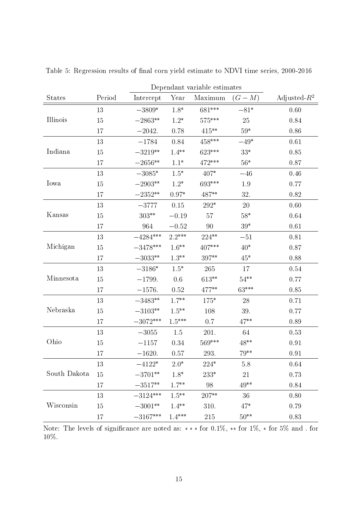|               |        | Dependant variable estimates |          |                      |             |                 |
|---------------|--------|------------------------------|----------|----------------------|-------------|-----------------|
| <b>States</b> | Period | Intercept                    | Year     | Maximum              | $(G-M)$     | Adjusted- $R^2$ |
|               | 13     | $-3809*$                     | $1.8*$   | 681***               | $-81*$      | 0.60            |
| Illinois      | 15     | $-2863**$                    | $1.2*$   | $575^{\ast\ast\ast}$ | 25          | 0.84            |
|               | 17     | $-2042.$                     | 0.78     | $415**$              | $59*$       | 0.86            |
|               | 13     | $-1784$                      | 0.84     | $458^{\ast\ast\ast}$ | $-49*$      | 0.61            |
| Indiana       | 15     | $-3219**$                    | $1.4***$ | 623***               | $33*$       | 0.85            |
|               | 17     | $-2656**$                    | $1.1*$   | 472***               | $56*$       | 0.87            |
|               | 13     | $-3085*$                     | $1.5*$   | $407*$               | $-46$       | 0.46            |
| Iowa          | 15     | $-2903**$                    | $1.2*$   | 693***               | 1.9         | 0.77            |
|               | 17     | $-2352**$                    | $0.97*$  | $487**$              | 32.         | 0.82            |
|               | 13     | $-3777$                      | 0.15     | $292*$               | 20          | 0.60            |
| Kansas        | 15     | $303**$                      | $-0.19$  | 57                   | $58\,^*$    | 0.64            |
|               | 17     | 964                          | $-0.52$  | 90                   | $39*$       | 0.61            |
|               | 13     | $-4284^{\ast\ast\ast}$       | $2.2***$ | 224**                | $-51$       | 0.81            |
| Michigan      | 15     | $-3478***$                   | $1.6***$ | 407***               | $40^{\ast}$ | 0.87            |
|               | 17     | $-3033**$                    | $1.3***$ | $397**$              | $45*$       | 0.88            |
|               | 13     | $-3186*$                     | $1.5*$   | 265                  | 17          | 0.54            |
| Minnesota     | 15     | $-1799.$                     | 0.6      | 613**                | $54***$     | 0.77            |
|               | 17     | $-1576.$                     | 0.52     | 477**                | 63***       | 0.85            |
|               | 13     | $-3483**$                    | $1.7***$ | $175*$               | 28          | 0.71            |
| Nebraska      | 15     | $-3103**$                    | $1.5***$ | 108                  | 39.         | 0.77            |
|               | 17     | $-3072***$                   | $1.5***$ | 0.7                  | $47**$      | 0.89            |
|               | 13     | $-3055$                      | $1.5\,$  | 201.                 | 64          | 0.53            |
| Ohio          | 15     | $-1157$                      | 0.34     | $569***$             | $48**$      | 0.91            |
|               | 17     | $-1620.$                     | 0.57     | 293.                 | $79**$      | 0.91            |
|               | 13     | $-4122*$                     | $2.0*$   | $224*$               | 5.8         | 0.64            |
| South Dakota  | 15     | $-3701**$                    | $1.8*$   | 233*                 | 21          | 0.73            |
|               | 17     | $-3517**$                    | $1.7***$ | 98                   | $49**$      | 0.84            |
|               | 13     | $-3124***$                   | $1.5***$ | 207**                | 36          | 0.80            |
| Wisconsin     | 15     | $-3001**$                    | $1.4**$  | 310.                 | $47*$       | 0.79            |
|               | 17     | $-3167***$                   | $1.4***$ | 215                  | $50**$      | 0.83            |

<span id="page-15-0"></span>Table 5: Regression results of final corn yield estimate to NDVI time series, 2000-2016

Note: The levels of significance are noted as:  $**$  for 0.1%,  $**$  for 1%,  $*$  for 5% and . for 10%.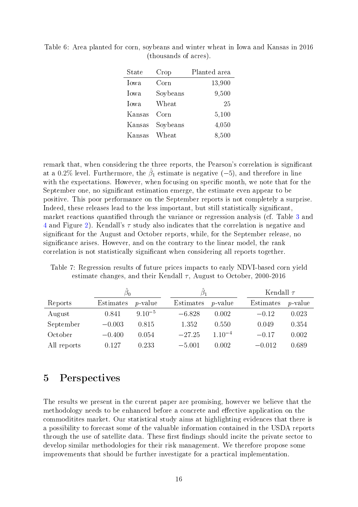| State  | Crop     | Planted area |
|--------|----------|--------------|
| Iowa   | Corn     | 13,900       |
| Iowa   | Soybeans | 9,500        |
| Iowa   | Wheat    | 25           |
| Kansas | Corn     | 5,100        |
| Kansas | Soybeans | 4,050        |
| Kansas | Wheat    | 8,500        |

<span id="page-16-1"></span>Table 6: Area planted for corn, soybeans and winter wheat in Iowa and Kansas in 2016 (thousands of acres).

remark that, when considering the three reports, the Pearson's correlation is signicant at a 0.2% level. Furthermore, the  $\hat{\beta}_1$  estimate is negative  $(-5)$ , and therefore in line with the expectations. However, when focusing on specific month, we note that for the September one, no signicant estimation emerge, the estimate even appear to be positive. This poor performance on the September reports is not completely a surprise. Indeed, these releases lead to the less important, but still statistically signicant, market reactions quantified through the variance or regression analysis (cf. Table [3](#page-13-0) and [4](#page-13-1) and Figure [2\)](#page-12-0). Kendall's  $\tau$  study also indicates that the correlation is negative and significant for the August and October reports, while, for the September release, no significance arises. However, and on the contrary to the linear model, the rank correlation is not statistically significant when considering all reports together.

<span id="page-16-2"></span>Table 7: Regression results of future prices impacts to early NDVI-based corn yield estimate changes, and their Kendall  $\tau$ , August to October, 2000-2016

|             |           |             | ال |           |             | Kendall $\tau$ |           |            |
|-------------|-----------|-------------|----|-----------|-------------|----------------|-----------|------------|
| Reports     | Estimates | $p$ -value  |    | Estimates | $p$ -value  |                | Estimates | $p$ -value |
| August      | 0.841     | $9.10^{-5}$ |    | $-6.828$  | 0.002       |                | $-0.12$   | 0.023      |
| September   | $-0.003$  | 0.815       |    | 1.352     | 0.550       |                | 0.049     | 0.354      |
| October     | $-0.400$  | 0.054       |    | $-27.25$  | $1.10^{-4}$ |                | $-0.17$   | 0.002      |
| All reports | 0.127     | 0.233       |    | $-5.001$  | 0.002       |                | $-0.012$  | 0.689      |

## <span id="page-16-0"></span>5 Perspectives

The results we present in the current paper are promising, however we believe that the methodology needs to be enhanced before a concrete and effective application on the commoditites market. Our statistical study aims at highlighting evidences that there is a possibility to forecast some of the valuable information contained in the USDA reports through the use of satellite data. These first findings should incite the private sector to develop similar methodologies for their risk management. We therefore propose some improvements that should be further investigate for a practical implementation.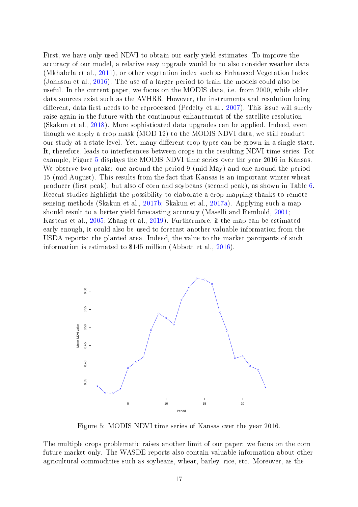First, we have only used NDVI to obtain our early yield estimates. To improve the accuracy of our model, a relative easy upgrade would be to also consider weather data (Mkhabela et al., [2011\)](#page-21-1), or other vegetation index such as Enhanced Vegetation Index (Johnson et al., [2016\)](#page-20-10). The use of a larger period to train the models could also be useful. In the current paper, we focus on the MODIS data, i.e. from 2000, while older data sources exist such as the AVHRR. However, the instruments and resolution being different, data first needs to be reprocessed (Pedelty et al.,  $2007$ ). This issue will surely raise again in the future with the continuous enhancement of the satellite resolution (Skakun et al., [2018\)](#page-22-9). More sophisticated data upgrades can be applied. Indeed, even though we apply a crop mask (MOD 12) to the MODIS NDVI data, we still conduct our study at a state level. Yet, many different crop types can be grown in a single state. It, therefore, leads to interferences between crops in the resulting NDVI time series. For example, Figure [5](#page-17-0) displays the MODIS NDVI time series over the year 2016 in Kansas. We observe two peaks: one around the period 9 (mid May) and one around the period 15 (mid August). This results from the fact that Kansas is an important winter wheat producer (first peak), but also of corn and soybeans (second peak), as shown in Table  $6$ . Recent studies highlight the possibility to elaborate a crop mapping thanks to remote sensing methods (Skakun et al., [2017b;](#page-22-7) Skakun et al., [2017a\)](#page-21-8). Applying such a map should result to a better yield forecasting accuracy (Maselli and Rembold, [2001;](#page-21-11) Kastens et al., [2005;](#page-20-8) Zhang et al., [2019\)](#page-22-10). Furthermore, if the map can be estimated early enough, it could also be used to forecast another valuable information from the USDA reports: the planted area. Indeed, the value to the market parcipants of such information is estimated to \$145 million (Abbott et al., [2016\)](#page-19-2).

<span id="page-17-0"></span>

Figure 5: MODIS NDVI time series of Kansas over the year 2016.

The multiple crops problematic raises another limit of our paper: we focus on the corn future market only. The WASDE reports also contain valuable information about other agricultural commodities such as soybeans, wheat, barley, rice, etc. Moreover, as the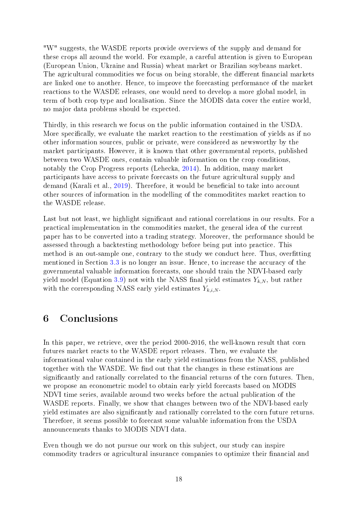"W" suggests, the WASDE reports provide overviews of the supply and demand for these crops all around the world. For example, a careful attention is given to European (European Union, Ukraine and Russia) wheat market or Brazilian soybeans market. The agricultural commodities we focus on being storable, the different financial markets are linked one to another. Hence, to improve the forecasting performance of the market reactions to the WASDE releases, one would need to develop a more global model, in term of both crop type and localisation. Since the MODIS data cover the entire world, no major data problems should be expected.

Thirdly, in this research we focus on the public information contained in the USDA. More specifically, we evaluate the market reaction to the reestimation of yields as if no other information sources, public or private, were considered as newsworthy by the market participants. However, it is known that other governmental reports, published between two WASDE ones, contain valuable information on the crop conditions, notably the Crop Progress reports (Lehecka, [2014\)](#page-20-5). In addition, many market participants have access to private forecasts on the future agricultural supply and demand (Karali et al., [2019\)](#page-20-3). Therefore, it would be beneficial to take into account other sources of information in the modelling of the commoditites market reaction to the WASDE release.

Last but not least, we highlight significant and rational correlations in our results. For a practical implementation in the commodities market, the general idea of the current paper has to be converted into a trading strategy. Moreover, the performance should be assessed through a backtesting methodology before being put into practice. This method is an out-sample one, contrary to the study we conduct here. Thus, overfitting mentioned in Section [3.3](#page-9-4) is no longer an issue. Hence, to increase the accuracy of the governmental valuable information forecasts, one should train the NDVI-based early yield model (Equation [3.9\)](#page-10-0) not with the NASS final yield estimates  $Y_{k,N}$ , but rather with the corresponding NASS early yield estimates  $Y_{k,i,N}$ .

# <span id="page-18-0"></span>6 Conclusions

In this paper, we retrieve, over the period 2000-2016, the well-known result that corn futures market reacts to the WASDE report releases. Then, we evaluate the informational value contained in the early yield estimations from the NASS, published together with the WASDE. We find out that the changes in these estimations are significantly and rationally correlated to the financial returns of the corn futures. Then, we propose an econometric model to obtain early yield forecasts based on MODIS NDVI time series, available around two weeks before the actual publication of the WASDE reports. Finally, we show that changes between two of the NDVI-based early yield estimates are also signicantly and rationally correlated to the corn future returns. Therefore, it seems possible to forecast some valuable information from the USDA announcements thanks to MODIS NDVI data.

Even though we do not pursue our work on this subject, our study can inspire commodity traders or agricultural insurance companies to optimize their financial and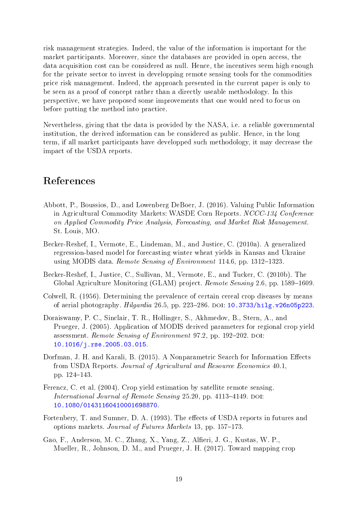risk management strategies. Indeed, the value of the information is important for the market participants. Moreover, since the databases are provided in open access, the data acquisition cost can be considered as null. Hence, the incentives seem high enough for the private sector to invest in developping remote sensing tools for the commodities price risk management. Indeed, the approach presented in the current paper is only to be seen as a proof of concept rather than a directly useable methodology. In this perspective, we have proposed some improvements that one would need to focus on before putting the method into practice.

Nevertheless, giving that the data is provided by the NASA, i.e. a reliable governmental institution, the derived information can be considered as public. Hence, in the long term, if all market participants have developped such methodology, it may decrease the impact of the USDA reports.

# References

- <span id="page-19-2"></span>Abbott, P., Boussios, D., and Lowenberg DeBoer, J. (2016). Valuing Public Information in Agricultural Commodity Markets: WASDE Corn Reports. NCCC-134 Conference on Applied Commodity Price Analysis, Forecasting, and Market Risk Management. St. Louis, MO.
- <span id="page-19-5"></span>Becker-Reshef, I., Vermote, E., Lindeman, M., and Justice, C. (2010a). A generalized regression-based model for forecasting winter wheat yields in Kansas and Ukraine using MODIS data. Remote Sensing of Environment 114.6, pp. 1312–1323.
- <span id="page-19-8"></span>Becker-Reshef, I., Justice, C., Sullivan, M., Vermote, E., and Tucker, C. (2010b). The Global Agriculture Monitoring (GLAM) project.  $Remote$  Sensing 2.6, pp. 1589–1609.
- <span id="page-19-3"></span>Colwell, R. (1956). Determining the prevalence of certain cereal crop diseases by means of aerial photography.  $Hilgardia$  26.5, pp. 223–286. DOI: [10.3733/hilg.v26n05p223.](https://doi.org/10.3733/hilg.v26n05p223)
- <span id="page-19-6"></span>Doraiswamy, P. C., Sinclair, T. R., Hollinger, S., Akhmedov, B., Stern, A., and Prueger, J. (2005). Application of MODIS derived parameters for regional crop yield assessment. Remote Sensing of Environment 97.2, pp. 192–202. DOI: [10.1016/j.rse.2005.03.015.](https://doi.org/10.1016/j.rse.2005.03.015)
- <span id="page-19-0"></span>Dorfman, J. H. and Karali, B. (2015). A Nonparametric Search for Information Effects from USDA Reports. Journal of Agricultural and Resource Economics 40.1, pp. 124-143.
- <span id="page-19-4"></span>Ferencz, C. et al. (2004). Crop yield estimation by satellite remote sensing. International Journal of Remote Sensing  $25.20$ , pp. 4113-4149. DOI: [10.1080/01431160410001698870.](https://doi.org/10.1080/01431160410001698870)
- <span id="page-19-1"></span>Fortenbery, T. and Sumner, D. A. (1993). The effects of USDA reports in futures and options markets. Journal of Futures Markets 13, pp. 157–173.
- <span id="page-19-7"></span>Gao, F., Anderson, M. C., Zhang, X., Yang, Z., Alfieri, J. G., Kustas, W. P., Mueller, R., Johnson, D. M., and Prueger, J. H. (2017). Toward mapping crop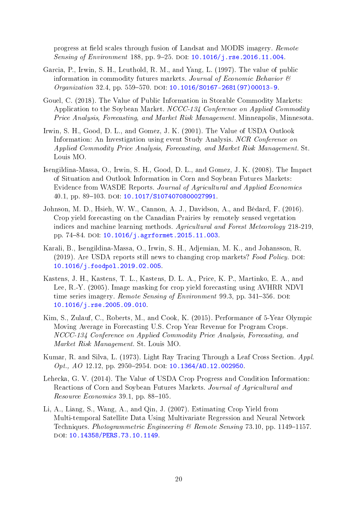progress at field scales through fusion of Landsat and MODIS imagery. Remote Sensing of Environment 188, pp. 9-25. DOI: [10.1016/j.rse.2016.11.004.](https://doi.org/10.1016/j.rse.2016.11.004)

- <span id="page-20-0"></span>Garcia, P., Irwin, S. H., Leuthold, R. M., and Yang, L. (1997). The value of public information in commodity futures markets. Journal of Economic Behavior  $\mathcal B$  $Organization$  32.4, pp. 559-570. DOI: [10.1016/S0167-2681\(97\)00013-9.](https://doi.org/10.1016/S0167-2681(97)00013-9)
- <span id="page-20-2"></span>Gouel, C. (2018). The Value of Public Information in Storable Commodity Markets: Application to the Soybean Market. NCCC-134 Conference on Applied Commodity Price Analysis, Forecasting, and Market Risk Management. Minneapolis, Minnesota.
- <span id="page-20-4"></span>Irwin, S. H., Good, D. L., and Gomez, J. K. (2001). The Value of USDA Outlook Information: An Investigation using event Study Analysis. NCR Conference on Applied Commodity Price Analysis, Forecasting, and Market Risk Management. St. Louis MO.
- <span id="page-20-1"></span>Isengildina-Massa, O., Irwin, S. H., Good, D. L., and Gomez, J. K. (2008). The Impact of Situation and Outlook Information in Corn and Soybean Futures Markets: Evidence from WASDE Reports. Journal of Agricultural and Applied Economics 40.1, pp. 89-103. DOI: [10.1017/S1074070800027991.](https://doi.org/10.1017/S1074070800027991)
- <span id="page-20-10"></span>Johnson, M. D., Hsieh, W. W., Cannon, A. J., Davidson, A., and Bédard, F. (2016). Crop yield forecasting on the Canadian Prairies by remotely sensed vegetation indices and machine learning methods. Agricultural and Forest Meteorology 218-219, pp. 74-84. DOI: [10.1016/j.agrformet.2015.11.003.](https://doi.org/10.1016/j.agrformet.2015.11.003)
- <span id="page-20-3"></span>Karali, B., Isengildina-Massa, O., Irwin, S. H., Adjemian, M. K., and Johansson, R.  $(2019)$ . Are USDA reports still news to changing crop markets? Food Policy. DOI: [10.1016/j.foodpol.2019.02.005.](https://doi.org/10.1016/j.foodpol.2019.02.005)
- <span id="page-20-8"></span>Kastens, J. H., Kastens, T. L., Kastens, D. L. A., Price, K. P., Martinko, E. A., and Lee, R.-Y. (2005). Image masking for crop yield forecasting using AVHRR NDVI time series imagery. Remote Sensing of Environment 99.3, pp. 341–356. DOI: [10.1016/j.rse.2005.09.010.](https://doi.org/10.1016/j.rse.2005.09.010)
- <span id="page-20-9"></span>Kim, S., Zulauf, C., Roberts, M., and Cook, K. (2015). Performance of 5-Year Olympic Moving Average in Forecasting U.S. Crop Year Revenue for Program Crops. NCCC-134 Conference on Applied Commodity Price Analysis, Forecasting, and Market Risk Management. St. Louis MO.
- <span id="page-20-6"></span>Kumar, R. and Silva, L. (1973). Light Ray Tracing Through a Leaf Cross Section. Appl. Opt.,  $AO$  12.12, pp. 2950-2954. DOI: 10.1364/A0.12.002950.
- <span id="page-20-5"></span>Lehecka, G. V. (2014). The Value of USDA Crop Progress and Condition Information: Reactions of Corn and Soybean Futures Markets. Journal of Agricultural and  $Resource\ Economics$  39.1, pp. 88-105.
- <span id="page-20-7"></span>Li, A., Liang, S., Wang, A., and Qin, J. (2007). Estimating Crop Yield from Multi-temporal Satellite Data Using Multivariate Regression and Neural Network Techniques. Photogrammetric Engineering & Remote Sensing 73.10, pp. 1149-1157. doi: [10.14358/PERS.73.10.1149.](https://doi.org/10.14358/PERS.73.10.1149)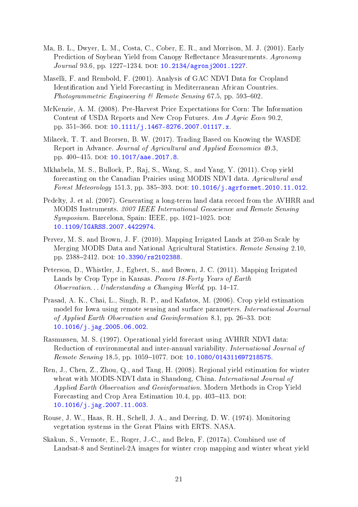- <span id="page-21-5"></span>Ma, B. L., Dwyer, L. M., Costa, C., Cober, E. R., and Morrison, M. J. (2001). Early Prediction of Soybean Yield from Canopy Reflectance Measurements. Agronomy  $Journal 93.6, pp. 1227-1234. DOI: 10.2134/agrami2001.1227.$
- <span id="page-21-11"></span>Maselli, F. and Rembold, F. (2001). Analysis of GAC NDVI Data for Cropland Identification and Yield Forecasting in Mediterranean African Countries. Photogrammetric Engineering  $\mathcal B$  Remote Sensing 67.5, pp. 593–602.
- <span id="page-21-2"></span>McKenzie, A. M. (2008). Pre-Harvest Price Expectations for Corn: The Information Content of USDA Reports and New Crop Futures. Am J Agric Econ 90.2, pp. 351-366. DOI: [10.1111/j.1467-8276.2007.01117.x.](https://doi.org/10.1111/j.1467-8276.2007.01117.x)
- <span id="page-21-3"></span>Milacek, T. T. and Brorsen, B. W. (2017). Trading Based on Knowing the WASDE Report in Advance. Journal of Agricultural and Applied Economics 49.3, pp. 400-415. DOI: [10.1017/aae.2017.8.](https://doi.org/10.1017/aae.2017.8)
- <span id="page-21-1"></span>Mkhabela, M. S., Bullock, P., Raj, S., Wang, S., and Yang, Y. (2011). Crop yield forecasting on the Canadian Prairies using MODIS NDVI data. Agricultural and Forest Meteorology 151.3, pp. 385–393. DOI:  $10.1016/j$ . agrformet. 2010.11.012.
- <span id="page-21-12"></span>Pedelty, J. et al. (2007). Generating a long-term land data record from the AVHRR and MODIS Instruments. 2007 IEEE International Geoscience and Remote Sensing  $Symposium$ . Barcelona, Spain: IEEE, pp. 1021-1025. DOI: [10.1109/IGARSS.2007.4422974.](https://doi.org/10.1109/IGARSS.2007.4422974)
- <span id="page-21-9"></span>Pervez, M. S. and Brown, J. F. (2010). Mapping Irrigated Lands at 250-m Scale by Merging MODIS Data and National Agricultural Statistics. Remote Sensing 2.10, pp. 2388-2412. DOI: [10.3390/rs2102388.](https://doi.org/10.3390/rs2102388)
- <span id="page-21-10"></span>Peterson, D., Whistler, J., Egbert, S., and Brown, J. C. (2011). Mapping Irrigated Lands by Crop Type in Kansas. Pecora 18-Forty Years of Earth  $Observation...$  Understanding a Changing World, pp. 14-17.
- <span id="page-21-0"></span>Prasad, A. K., Chai, L., Singh, R. P., and Kafatos, M. (2006). Crop yield estimation model for Iowa using remote sensing and surface parameters. International Journal of Applied Earth Observation and Geoinformation 8.1, pp. 26–33. DOI: [10.1016/j.jag.2005.06.002.](https://doi.org/10.1016/j.jag.2005.06.002)
- <span id="page-21-7"></span>Rasmussen, M. S. (1997). Operational yield forecast using AVHRR NDVI data: Reduction of environmental and inter-annual variability. International Journal of Remote Sensing 18.5, pp. 1059-1077. DOI: [10.1080/014311697218575.](https://doi.org/10.1080/014311697218575)
- <span id="page-21-6"></span>Ren, J., Chen, Z., Zhou, Q., and Tang, H. (2008). Regional yield estimation for winter wheat with MODIS-NDVI data in Shandong, China. International Journal of Applied Earth Observation and Geoinformation. Modern Methods in Crop Yield Forecasting and Crop Area Estimation 10.4, pp. 403–413. DOI: [10.1016/j.jag.2007.11.003.](https://doi.org/10.1016/j.jag.2007.11.003)
- <span id="page-21-4"></span>Rouse, J. W., Haas, R. H., Schell, J. A., and Deering, D. W. (1974). Monitoring vegetation systems in the Great Plains with ERTS. NASA.
- <span id="page-21-8"></span>Skakun, S., Vermote, E., Roger, J.-C., and Belen, F. (2017a). Combined use of Landsat-8 and Sentinel-2A images for winter crop mapping and winter wheat yield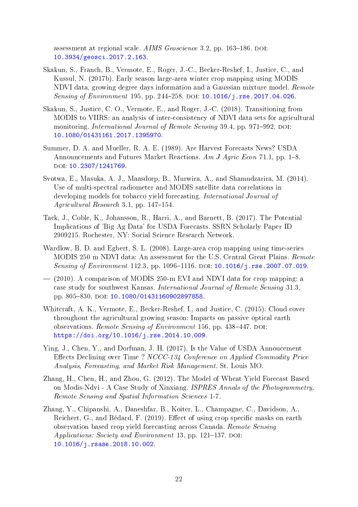assessment at regional scale.  $AIMS$  Geoscience 3.2, pp. 163–186. DOI: [10.3934/geosci.2017.2.163.](https://doi.org/10.3934/geosci.2017.2.163)

- <span id="page-22-7"></span>Skakun, S., Franch, B., Vermote, E., Roger, J.-C., Becker-Reshef, I., Justice, C., and Kussul, N. (2017b). Early season large-area winter crop mapping using MODIS NDVI data, growing degree days information and a Gaussian mixture model. Remote Sensing of Environment 195, pp. 244-258. DOI: [10.1016/j.rse.2017.04.026.](https://doi.org/10.1016/j.rse.2017.04.026)
- <span id="page-22-9"></span>Skakun, S., Justice, C. O., Vermote, E., and Roger, J.-C. (2018). Transitioning from MODIS to VIIRS: an analysis of inter-consistency of NDVI data sets for agricultural monitoring. International Journal of Remote Sensing 39.4, pp. 971–992. DOI: [10.1080/01431161.2017.1395970.](https://doi.org/10.1080/01431161.2017.1395970)
- <span id="page-22-0"></span>Summer, D. A. and Mueller, R. A. E. (1989). Are Harvest Forecasts News? USDA Announcements and Futures Market Reactions. Am J Agric Econ 71.1, pp. 1–8. DOI: [10.2307/1241769.](https://doi.org/10.2307/1241769)
- <span id="page-22-4"></span>Svotwa, E., Masuka, A. J., Maasdorp, B., Murwira, A., and Shamudzarira, M. (2014). Use of multi-spectral radiometer and MODIS satellite data correlations in developing models for tobacco yield forecasting. International Journal of Agricultural Research 3.1, pp.  $147-154$ .
- <span id="page-22-1"></span>Tack, J., Coble, K., Johansson, R., Harri, A., and Barnett, B. (2017). The Potential Implications of 'Big Ag Data' for USDA Forecasts. SSRN Scholarly Paper ID 2909215. Rochester, NY: Social Science Research Network.
- <span id="page-22-5"></span>Wardlow, B. D. and Egbert, S. L. (2008). Large-area crop mapping using time-series MODIS 250 m NDVI data: An assessment for the U.S. Central Great Plains. Remote Sensing of Environment 112.3, pp. 1096-1116. DOI: [10.1016/j.rse.2007.07.019.](https://doi.org/10.1016/j.rse.2007.07.019)
- <span id="page-22-6"></span> $-$  (2010). A comparison of MODIS 250-m EVI and NDVI data for crop mapping: a case study for southwest Kansas. International Journal of Remote Sensing 31.3, pp. 805-830. doi: [10.1080/01431160902897858.](https://doi.org/10.1080/01431160902897858)
- <span id="page-22-8"></span>Whitcraft, A. K., Vermote, E., Becker-Reshef, I., and Justice, C. (2015). Cloud cover throughout the agricultural growing season: Impacts on passive optical earth observations. Remote Sensing of Environment 156, pp. 438-447. DOI: [https://doi.org/10.1016/j.rse.2014.10.009.](https://doi.org/https://doi.org/10.1016/j.rse.2014.10.009)
- <span id="page-22-2"></span>Ying, J., Chen, Y., and Dorfman, J. H. (2017). Is the Value of USDA Annoucement Effects Declining over Time ? NCCC-134 Conference on Applied Commodity Price Analysis, Forecasting, and Market Risk Management. St. Louis MO.
- <span id="page-22-3"></span>Zhang, H., Chen, H., and Zhou, G. (2012). The Model of Wheat Yield Forecast Based on Modis-Ndvi - A Case Study of Xinxiang. ISPRES Annals of the Photogrammetry, Remote Sensing and Spatial Information Sciences 1-7.
- <span id="page-22-10"></span>Zhang, Y., Chipanshi, A., Daneshfar, B., Koiter, L., Champagne, C., Davidson, A., Reichert, G., and Bédard, F. (2019). Effect of using crop specific masks on earth observation based crop yield forecasting across Canada. Remote Sensing Applications: Society and Environment 13, pp. 121–137. DOI: [10.1016/j.rsase.2018.10.002.](https://doi.org/10.1016/j.rsase.2018.10.002)